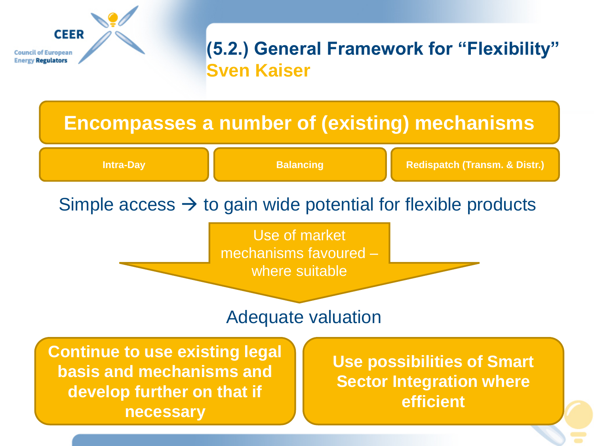

# **(5.2.) General Framework for "Flexibility" Sven Kaiser**

# **Encompasses a number of (existing) mechanisms**

**Intra-Day Balancing Redispatch (Transm. & Distr.) Balancing Redispatch (Transm. & Distr.)** 

# Simple access  $\rightarrow$  to gain wide potential for flexible products

Use of market mechanisms favoured – where suitable

#### Adequate valuation

**Continue to use existing legal basis and mechanisms and develop further on that if necessary**

**Use possibilities of Smart Sector Integration where efficient**